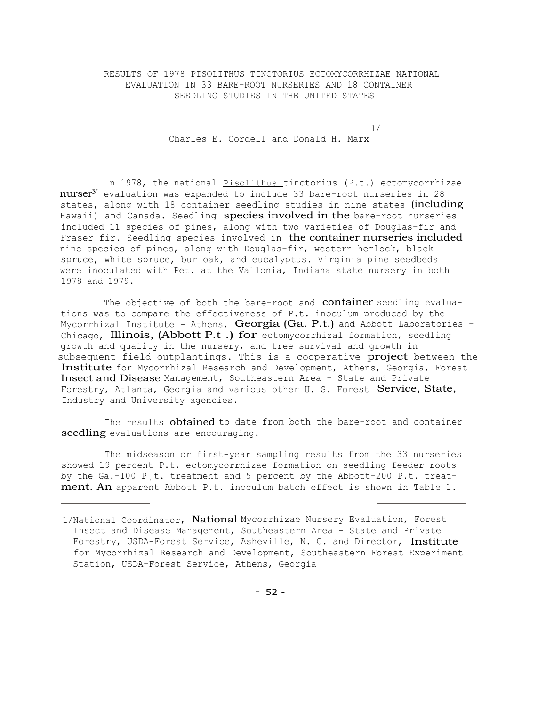RESULTS OF 1978 PISOLITHUS TINCTORIUS ECTOMYCORRHIZAE NATIONAL EVALUATION IN 33 BARE-ROOT NURSERIES AND 18 CONTAINER SEEDLING STUDIES IN THE UNITED STATES

> 1/ Charles E. Cordell and Donald H. Marx

In 1978, the national Pisolithus tinctorius (P.t.) ectomycorrhizae nurser<sup>y</sup> evaluation was expanded to include 33 bare-root nurseries in 28 states, along with 18 container seedling studies in nine states (including Hawaii) and Canada. Seedling species involved in the bare-root nurseries included 11 species of pines, along with two varieties of Douglas-fir and Fraser fir. Seedling species involved in the container nurseries included nine species of pines, along with Douglas-fir, western hemlock, black spruce, white spruce, bur oak, and eucalyptus. Virginia pine seedbeds were inoculated with Pet. at the Vallonia, Indiana state nursery in both 1978 and 1979.

The objective of both the bare-root and container seedling evaluations was to compare the effectiveness of P.t. inoculum produced by the Mycorrhizal Institute - Athens, Georgia (Ga. P.t.) and Abbott Laboratories -Chicago, Illinois, (Abbott P.t .) for ectomycorrhizal formation, seedling growth and quality in the nursery, and tree survival and growth in subsequent field outplantings. This is a cooperative project between the Institute for Mycorrhizal Research and Development, Athens, Georgia, Forest Insect and Disease Management, Southeastern Area - State and Private Forestry, Atlanta, Georgia and various other U. S. Forest Service, State, Industry and University agencies.

The results obtained to date from both the bare-root and container seedling evaluations are encouraging.

The midseason or first-year sampling results from the 33 nurseries showed 19 percent P.t. ectomycorrhizae formation on seedling feeder roots by the  $Ga.-100$  P  $t.$  treatment and 5 percent by the Abbott-200 P.t. treatment. An apparent Abbott P.t. inoculum batch effect is shown in Table 1.

<sup>1/</sup>National Coordinator, National Mycorrhizae Nursery Evaluation, Forest Insect and Disease Management, Southeastern Area - State and Private Forestry, USDA-Forest Service, Asheville, N. C. and Director, Institute for Mycorrhizal Research and Development, Southeastern Forest Experiment Station, USDA-Forest Service, Athens, Georgia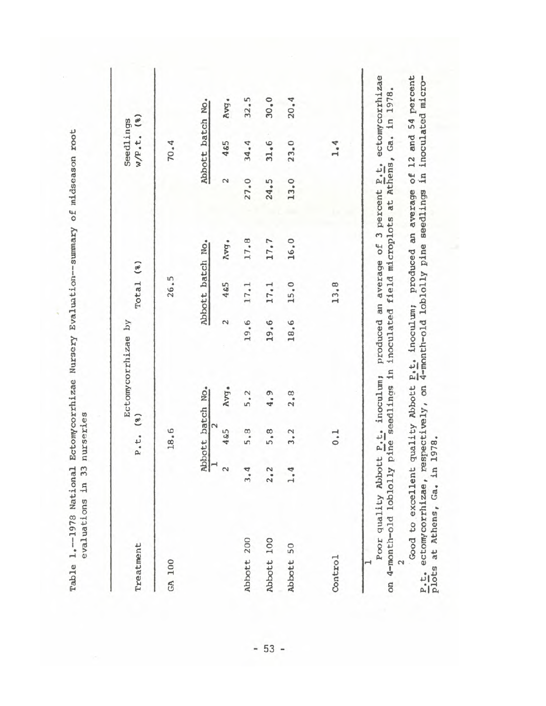| Treatment  |                                          | (8)<br>$P_4t_4$ |      |             | Total            | (8)  |        | Seedlings        |      |
|------------|------------------------------------------|-----------------|------|-------------|------------------|------|--------|------------------|------|
|            |                                          |                 |      |             |                  |      |        | w/P.t.           | (8)  |
| GA 100     |                                          | 18.6            |      |             | 26.5             |      |        | 70.4             |      |
|            |                                          | Abbott batch    | No.  |             | Abbott batch No. |      |        | Abbott batch No. |      |
|            | $\overline{\phantom{0}}$<br>$\mathbf{z}$ | 4&5             | Avg. | $\mathbf 2$ | 4&5              | Nvg. | $\sim$ | 4&5              | Avg. |
| Abbott 200 | 3.4                                      | 5.8             | 5.2  | 19.6        | 17.1             | 17.8 | 27.0   | 34.4             | 32.5 |
| Abbott 100 | 2.2                                      | 5.8             | 4.9  | 19.6        | 17.1             | 17.7 | 24.5   | 31.6             | 30.0 |
| Abbott 50  | 1.4                                      | 3.2             | 2.8  | 18.6        | 15.0             | 16.0 | 13.0   | 23.0             | 20.4 |
| Control    |                                          | 0.1             |      |             | 13.8             |      |        | 1.4              |      |

 $-53 -$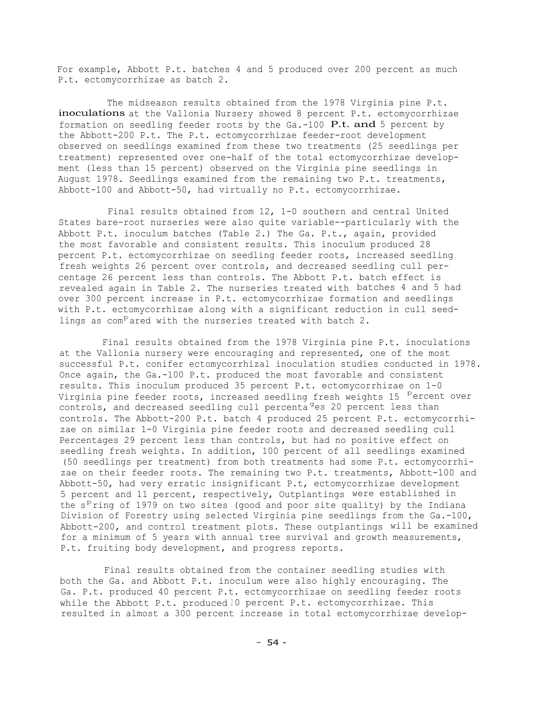For example, Abbott P.t. batches 4 and 5 produced over 200 percent as much P.t. ectomycorrhizae as batch 2.

The midseason results obtained from the 1978 Virginia pine P.t. inoculations at the Vallonia Nursery showed 8 percent P.t. ectomycorrhizae formation on seedling feeder roots by the  $Ga.-100$  P.t. and 5 percent by the Abbott-200 P.t. The P.t. ectomycorrhizae feeder-root development observed on seedlings examined from these two treatments (25 seedlings per treatment) represented over one-half of the total ectomycorrhizae development (less than 15 percent) observed on the Virginia pine seedlings in August 1978. Seedlings examined from the remaining two P.t. treatments, Abbott-100 and Abbott-50, had virtually no P.t. ectomycorrhizae.

Final results obtained from 12, 1-0 southern and central United States bare-root nurseries were also quite variable--particularly with the Abbott P.t. inoculum batches (Table 2.) The Ga. P.t., again, provided the most favorable and consistent results. This inoculum produced 28 percent P.t. ectomycorrhizae on seedling feeder roots, increased seedling fresh weights 26 percent over controls, and decreased seedling cull percentage 26 percent less than controls. The Abbott P.t. batch effect is revealed again in Table 2. The nurseries treated with batches 4 and 5 had over 300 percent increase in P.t. ectomycorrhizae formation and seedlings with P.t. ectomycorrhizae along with a significant reduction in cull seedlings as com<sup>p</sup>ared with the nurseries treated with batch 2.

Final results obtained from the 1978 Virginia pine P.t. inoculations at the Vallonia nursery were encouraging and represented, one of the most successful P.t. conifer ectomycorrhizal inoculation studies conducted in 1978. Once again, the Ga.-100 P.t. produced the most favorable and consistent results. This inoculum produced 35 percent P.t. ectomycorrhizae on 1-0 Virginia pine feeder roots, increased seedling fresh weights 15 Percent over controls, and decreased seedling cull percenta ges 20 percent less than controls. The Abbott-200 P.t. batch 4 produced 25 percent P.t. ectomycorrhizae on similar 1-0 Virginia pine feeder roots and decreased seedling cull Percentages 29 percent less than controls, but had no positive effect on seedling fresh weights. In addition, 100 percent of all seedlings examined (50 seedlings per treatment) from both treatments had some P.t. ectomycorrhizae on their feeder roots. The remaining two P.t. treatments, Abbott-100 and Abbott-50, had very erratic insignificant P.t, ectomycorrhizae development 5 percent and 11 percent, respectively, Outplantings were established in the s<sup>p</sup>ring of 1979 on two sites (good and poor site quality) by the Indiana Division of Forestry using selected Virginia pine seedlings from the Ga.-100, Abbott-200, and control treatment plots. These outplantings will be examined for a minimum of 5 years with annual tree survival and growth measurements, P.t. fruiting body development, and progress reports.

Final results obtained from the container seedling studies with both the Ga. and Abbott P.t. inoculum were also highly encouraging. The Ga. P.t. produced 40 percent P.t. ectomycorrhizae on seedling feeder roots while the Abbott P.t. produced  $10$  percent P.t. ectomycorrhizae. This resulted in almost a 300 percent increase in total ectomycorrhizae develop-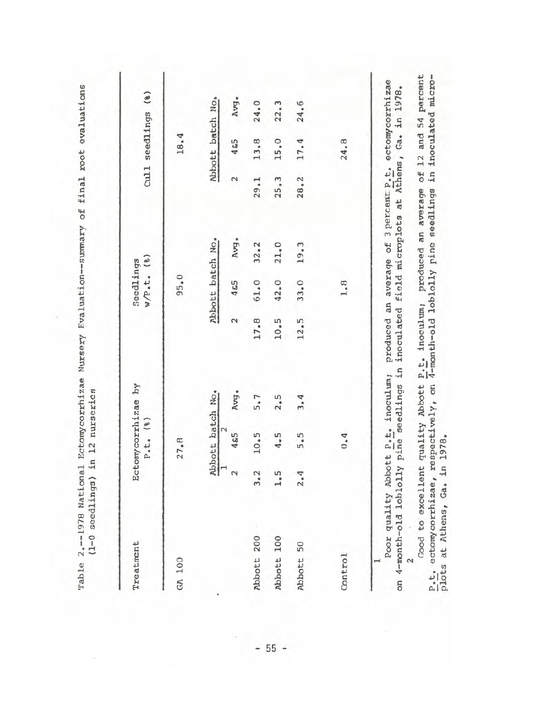| Treatment  |        | (8)<br>P.t.                 | Ectomycorrhizae by |      | Seedlings<br>w/P.t. | (8)  |      | Cull seedlings | $\binom{8}{2}$   |
|------------|--------|-----------------------------|--------------------|------|---------------------|------|------|----------------|------------------|
| GA 100     |        | $\infty$<br>27 <sub>°</sub> |                    |      | 95.0                |      |      | 18.4           |                  |
|            |        | batch<br>Abbott             | No.                |      | Abbott batch No.    |      |      |                | Abbott batch No. |
|            | $\sim$ | Z<br>G3                     | Avg.               | 2    | 4&5                 | Avg. | 2    | 4 & 5          | hvg.             |
| Abbott 200 | 3.2    | 5.<br>$\Xi$                 | 5.7                | 17.8 | 61.0                | 32.2 | 29.1 | 13.8           | 24.0             |
| Abbott 100 | 1.5    | $\ddot{5}$                  | 2.5                | 10.5 | 42.0                | 21.0 | 25.3 | 15.0           | 22.3             |
| Abbott 50  | 2.4    | 5.<br>m                     | 3.4                | 12.5 | 33.0                | 19.3 | 28.2 | 17.4           | 24.6             |
| Control    |        | $^{\bullet}$<br>0           |                    |      | 1.8                 |      |      | 24.8           |                  |

 $\mathcal{A}_{\mathbb{C}}$  $-55 -$ 

 $\sim$